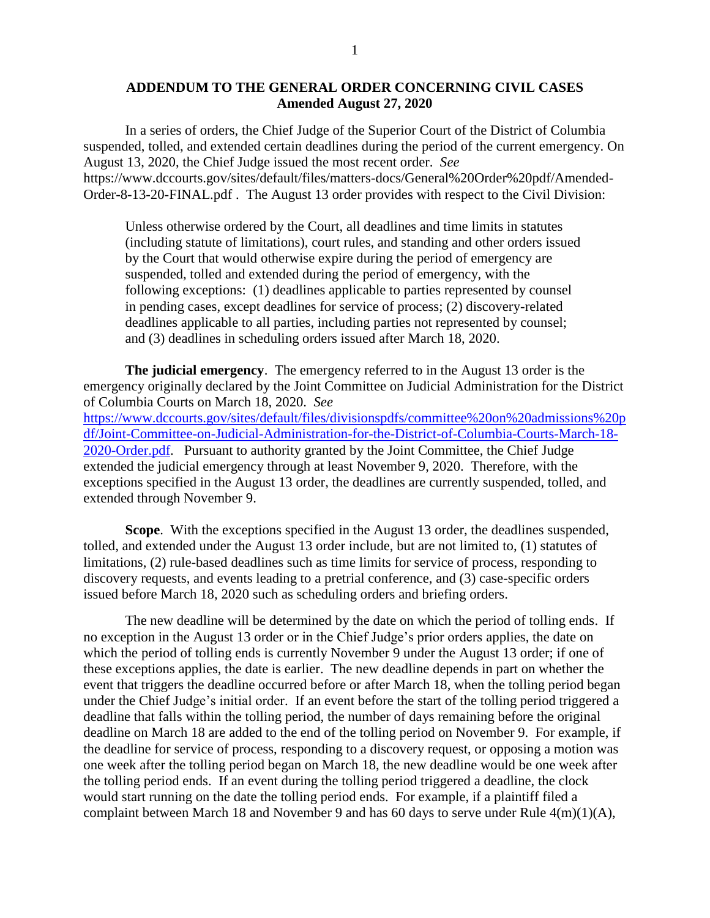## **ADDENDUM TO THE GENERAL ORDER CONCERNING CIVIL CASES Amended August 27, 2020**

In a series of orders, the Chief Judge of the Superior Court of the District of Columbia suspended, tolled, and extended certain deadlines during the period of the current emergency. On August 13, 2020, the Chief Judge issued the most recent order. *See* https://www.dccourts.gov/sites/default/files/matters-docs/General%20Order%20pdf/Amended-Order-8-13-20-FINAL.pdf . The August 13 order provides with respect to the Civil Division:

Unless otherwise ordered by the Court, all deadlines and time limits in statutes (including statute of limitations), court rules, and standing and other orders issued by the Court that would otherwise expire during the period of emergency are suspended, tolled and extended during the period of emergency, with the following exceptions: (1) deadlines applicable to parties represented by counsel in pending cases, except deadlines for service of process; (2) discovery-related deadlines applicable to all parties, including parties not represented by counsel; and (3) deadlines in scheduling orders issued after March 18, 2020.

**The judicial emergency**. The emergency referred to in the August 13 order is the emergency originally declared by the Joint Committee on Judicial Administration for the District of Columbia Courts on March 18, 2020. *See* [https://www.dccourts.gov/sites/default/files/divisionspdfs/committee%20on%20admissions%20p](https://www.dccourts.gov/sites/default/files/divisionspdfs/committee%20on%20admissions%20pdf/Joint-Committee-on-Judicial-Administration-for-the-District-of-Columbia-Courts-March-18-2020-Order.pdf) [df/Joint-Committee-on-Judicial-Administration-for-the-District-of-Columbia-Courts-March-18-](https://www.dccourts.gov/sites/default/files/divisionspdfs/committee%20on%20admissions%20pdf/Joint-Committee-on-Judicial-Administration-for-the-District-of-Columbia-Courts-March-18-2020-Order.pdf) [2020-Order.pdf.](https://www.dccourts.gov/sites/default/files/divisionspdfs/committee%20on%20admissions%20pdf/Joint-Committee-on-Judicial-Administration-for-the-District-of-Columbia-Courts-March-18-2020-Order.pdf) Pursuant to authority granted by the Joint Committee, the Chief Judge extended the judicial emergency through at least November 9, 2020. Therefore, with the exceptions specified in the August 13 order, the deadlines are currently suspended, tolled, and extended through November 9.

**Scope**. With the exceptions specified in the August 13 order, the deadlines suspended, tolled, and extended under the August 13 order include, but are not limited to, (1) statutes of limitations, (2) rule-based deadlines such as time limits for service of process, responding to discovery requests, and events leading to a pretrial conference, and (3) case-specific orders issued before March 18, 2020 such as scheduling orders and briefing orders.

The new deadline will be determined by the date on which the period of tolling ends. If no exception in the August 13 order or in the Chief Judge's prior orders applies, the date on which the period of tolling ends is currently November 9 under the August 13 order; if one of these exceptions applies, the date is earlier. The new deadline depends in part on whether the event that triggers the deadline occurred before or after March 18, when the tolling period began under the Chief Judge's initial order. If an event before the start of the tolling period triggered a deadline that falls within the tolling period, the number of days remaining before the original deadline on March 18 are added to the end of the tolling period on November 9. For example, if the deadline for service of process, responding to a discovery request, or opposing a motion was one week after the tolling period began on March 18, the new deadline would be one week after the tolling period ends. If an event during the tolling period triggered a deadline, the clock would start running on the date the tolling period ends. For example, if a plaintiff filed a complaint between March 18 and November 9 and has 60 days to serve under Rule 4(m)(1)(A),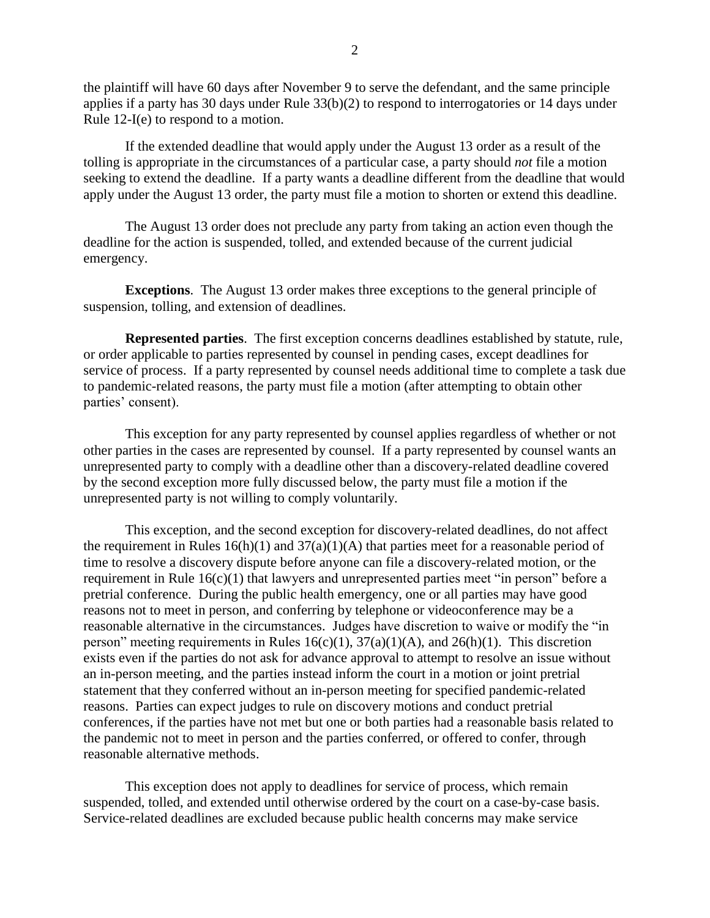the plaintiff will have 60 days after November 9 to serve the defendant, and the same principle applies if a party has 30 days under Rule 33(b)(2) to respond to interrogatories or 14 days under Rule 12-I(e) to respond to a motion.

If the extended deadline that would apply under the August 13 order as a result of the tolling is appropriate in the circumstances of a particular case, a party should *not* file a motion seeking to extend the deadline. If a party wants a deadline different from the deadline that would apply under the August 13 order, the party must file a motion to shorten or extend this deadline.

The August 13 order does not preclude any party from taking an action even though the deadline for the action is suspended, tolled, and extended because of the current judicial emergency.

**Exceptions**. The August 13 order makes three exceptions to the general principle of suspension, tolling, and extension of deadlines.

**Represented parties**. The first exception concerns deadlines established by statute, rule, or order applicable to parties represented by counsel in pending cases, except deadlines for service of process. If a party represented by counsel needs additional time to complete a task due to pandemic-related reasons, the party must file a motion (after attempting to obtain other parties' consent).

This exception for any party represented by counsel applies regardless of whether or not other parties in the cases are represented by counsel. If a party represented by counsel wants an unrepresented party to comply with a deadline other than a discovery-related deadline covered by the second exception more fully discussed below, the party must file a motion if the unrepresented party is not willing to comply voluntarily.

This exception, and the second exception for discovery-related deadlines, do not affect the requirement in Rules  $16(h)(1)$  and  $37(a)(1)(A)$  that parties meet for a reasonable period of time to resolve a discovery dispute before anyone can file a discovery-related motion, or the requirement in Rule 16(c)(1) that lawyers and unrepresented parties meet "in person" before a pretrial conference. During the public health emergency, one or all parties may have good reasons not to meet in person, and conferring by telephone or videoconference may be a reasonable alternative in the circumstances. Judges have discretion to waive or modify the "in person" meeting requirements in Rules  $16(c)(1)$ ,  $37(a)(1)(A)$ , and  $26(h)(1)$ . This discretion exists even if the parties do not ask for advance approval to attempt to resolve an issue without an in-person meeting, and the parties instead inform the court in a motion or joint pretrial statement that they conferred without an in-person meeting for specified pandemic-related reasons. Parties can expect judges to rule on discovery motions and conduct pretrial conferences, if the parties have not met but one or both parties had a reasonable basis related to the pandemic not to meet in person and the parties conferred, or offered to confer, through reasonable alternative methods.

This exception does not apply to deadlines for service of process, which remain suspended, tolled, and extended until otherwise ordered by the court on a case-by-case basis. Service-related deadlines are excluded because public health concerns may make service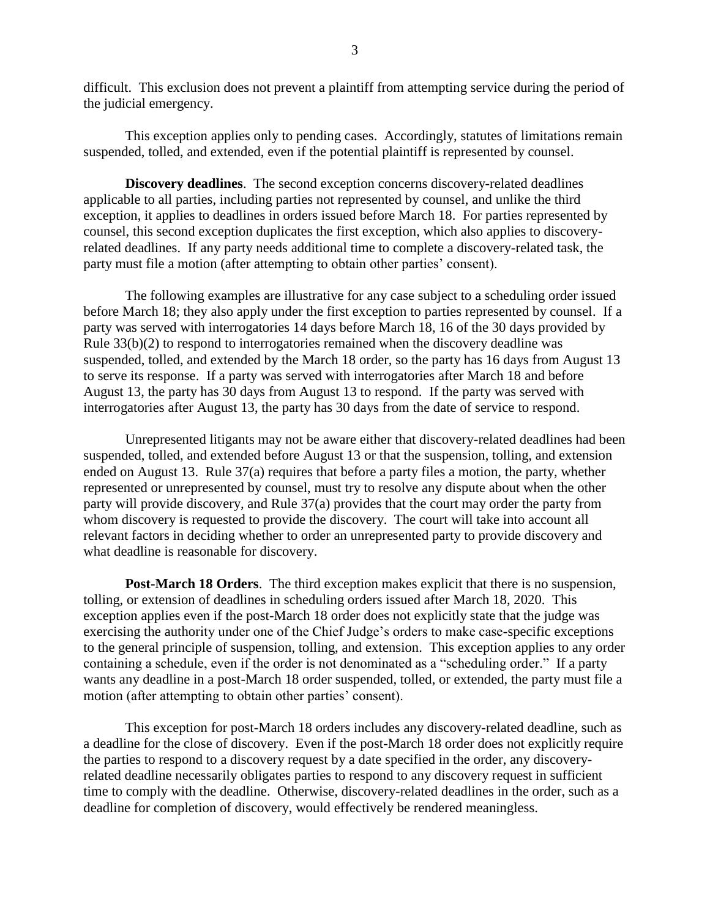difficult. This exclusion does not prevent a plaintiff from attempting service during the period of the judicial emergency.

This exception applies only to pending cases. Accordingly, statutes of limitations remain suspended, tolled, and extended, even if the potential plaintiff is represented by counsel.

**Discovery deadlines**. The second exception concerns discovery-related deadlines applicable to all parties, including parties not represented by counsel, and unlike the third exception, it applies to deadlines in orders issued before March 18. For parties represented by counsel, this second exception duplicates the first exception, which also applies to discoveryrelated deadlines. If any party needs additional time to complete a discovery-related task, the party must file a motion (after attempting to obtain other parties' consent).

The following examples are illustrative for any case subject to a scheduling order issued before March 18; they also apply under the first exception to parties represented by counsel. If a party was served with interrogatories 14 days before March 18, 16 of the 30 days provided by Rule 33(b)(2) to respond to interrogatories remained when the discovery deadline was suspended, tolled, and extended by the March 18 order, so the party has 16 days from August 13 to serve its response. If a party was served with interrogatories after March 18 and before August 13, the party has 30 days from August 13 to respond. If the party was served with interrogatories after August 13, the party has 30 days from the date of service to respond.

Unrepresented litigants may not be aware either that discovery-related deadlines had been suspended, tolled, and extended before August 13 or that the suspension, tolling, and extension ended on August 13. Rule 37(a) requires that before a party files a motion, the party, whether represented or unrepresented by counsel, must try to resolve any dispute about when the other party will provide discovery, and Rule 37(a) provides that the court may order the party from whom discovery is requested to provide the discovery. The court will take into account all relevant factors in deciding whether to order an unrepresented party to provide discovery and what deadline is reasonable for discovery.

**Post-March 18 Orders**. The third exception makes explicit that there is no suspension, tolling, or extension of deadlines in scheduling orders issued after March 18, 2020. This exception applies even if the post-March 18 order does not explicitly state that the judge was exercising the authority under one of the Chief Judge's orders to make case-specific exceptions to the general principle of suspension, tolling, and extension. This exception applies to any order containing a schedule, even if the order is not denominated as a "scheduling order." If a party wants any deadline in a post-March 18 order suspended, tolled, or extended, the party must file a motion (after attempting to obtain other parties' consent).

This exception for post-March 18 orders includes any discovery-related deadline, such as a deadline for the close of discovery. Even if the post-March 18 order does not explicitly require the parties to respond to a discovery request by a date specified in the order, any discoveryrelated deadline necessarily obligates parties to respond to any discovery request in sufficient time to comply with the deadline. Otherwise, discovery-related deadlines in the order, such as a deadline for completion of discovery, would effectively be rendered meaningless.